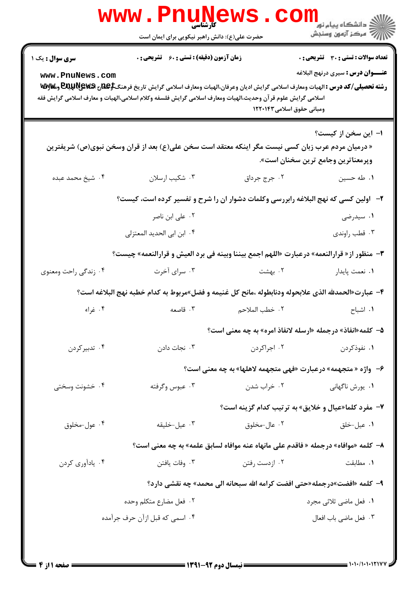| <b>سری سوال :</b> یک ۱                                                                             | <b>زمان آزمون (دقیقه) : تستی : 60 ٪ تشریحی : 0</b>                                                                                                                                                                                             |                                                                                    | <b>تعداد سوالات : تستی : 30 ٪ تشریحی : 0</b>              |  |  |
|----------------------------------------------------------------------------------------------------|------------------------------------------------------------------------------------------------------------------------------------------------------------------------------------------------------------------------------------------------|------------------------------------------------------------------------------------|-----------------------------------------------------------|--|--|
| www.PnuNews.com                                                                                    | رشته تحصيلي/كد درس : الهيات ومعارف اسلامي گرايش اديان وعرفان،الهيات ومعارف اسلامي گرايش تاريخ فرهنگ <del>\$EQU</del> R و&wy و&wy<br>اسلامی گرایش علوم قرآن وحدیث،الهیات ومعارف اسلامی گرایش فلسفه وکلام اسلامی،الهیات و معارف اسلامی گرایش فقه | ومبانی حقوق اسلامی۱۲۲۰۱۴۳                                                          | <b>عنـــوان درس :</b> سيرى درنهج البلاغه                  |  |  |
|                                                                                                    | « درمیان مردم عرب زبان کسی نیست مگر اینکه معتقد است سخن علی(ع) بعد از قران وسخن نبوی(ص) شریفترین                                                                                                                                               |                                                                                    | ۱– این سخن از کیست؟<br>وپرمعناترین وجامع ترین سخنان است». |  |  |
| ۰۴ شیخ محمد عبده                                                                                   | ۰۳ شکیب ارسلان                                                                                                                                                                                                                                 | ٠٢ جرج جرداق                                                                       | ٠١ طه حسين                                                |  |  |
| ۲-۔ اولین کسی که نهج البلاغه رابررسی وکلمات دشوار ان را شرح و تفسیر کرده است، کیست؟                |                                                                                                                                                                                                                                                |                                                                                    |                                                           |  |  |
|                                                                                                    | ۰۲ علی ابن ناصر                                                                                                                                                                                                                                |                                                                                    | ۰۱ سیدرضی                                                 |  |  |
|                                                                                                    | ۰۴ ابن ابي الحديد المعتزلي                                                                                                                                                                                                                     |                                                                                    | ۰۳ قطب راوندي                                             |  |  |
|                                                                                                    | ٣- منظور از « قرارالنعمه» درعبارت «اللهم اجمع بيننا وبينه في برد العيش و قرارالنعمه» چيست؟                                                                                                                                                     |                                                                                    |                                                           |  |  |
| ۰۴ زندگی راحت ومعنوی                                                                               | ۰۳ سرای آخرت                                                                                                                                                                                                                                   | ۰۲ بهشت                                                                            | ٠١ نعمت پايدار                                            |  |  |
| ۴– عبارت«الحمدلله الذي علابحوله ودنابطوله ،مانح كل غنيمه و فضل»مربوط به كدام خطبه نهج البلاغه است؟ |                                                                                                                                                                                                                                                |                                                                                    |                                                           |  |  |
| ۰۴ غراء                                                                                            | ۰۳ قاصعه                                                                                                                                                                                                                                       | ٢. خطب الملاحم                                                                     | ٠١. اشباح                                                 |  |  |
|                                                                                                    |                                                                                                                                                                                                                                                | ۵- كلمه«انفاذ» درجمله «ارسله لانفاذ امره» به چه معنى است؟                          |                                                           |  |  |
| ۰۴ تدبیر کردن                                                                                      | ۰۳ نجات دادن                                                                                                                                                                                                                                   | ۰۲ اجراکردن                                                                        | ۰۱ نفوذکردن                                               |  |  |
|                                                                                                    |                                                                                                                                                                                                                                                | ۶- واژه « متجهمه» درعبارت «فهي متجهمه لاهلها» به چه معنى است؟                      |                                                           |  |  |
| ۰۴ خشونت وسختی                                                                                     | ۰۳ عبوس وگرفته                                                                                                                                                                                                                                 | ۰۲ خراب شدن                                                                        | ۰۱ يورش ناگهاني                                           |  |  |
|                                                                                                    |                                                                                                                                                                                                                                                | ۷- مفرد کلما«عیال و خلایق» به ترتیب کدام گزینه است؟                                |                                                           |  |  |
| ۰۴ عول-مخلوق                                                                                       | ۰۳ عیل-خلیقه                                                                                                                                                                                                                                   | ۰۲ عال-مخلوق                                                                       | ۰۱ عیل-خلق                                                |  |  |
|                                                                                                    |                                                                                                                                                                                                                                                | ۸–  کلمه «موافاه» درجمله « فاقدم علی مانهاه عنه موافاه لسابق علمه» به چه معنی است؟ |                                                           |  |  |
| ۰۴ يادآوري کردن                                                                                    | ۰۳ وفات یافتن                                                                                                                                                                                                                                  | ۰۲ ازدست رفتن                                                                      | ٠١. مطابقت                                                |  |  |
|                                                                                                    |                                                                                                                                                                                                                                                | <b>۹- كلمه «افضت»درجمله«حتى افضت كرامه الله سبحانه الى محمد» چه نقشى دارد؟</b>     |                                                           |  |  |
|                                                                                                    | ۰۲ فعل مضارع متكلم وحده                                                                                                                                                                                                                        |                                                                                    | ۰۱ فعل ماضي ثلاثي مجرد                                    |  |  |
|                                                                                                    | ۰۴ اسمی که قبل ازآن حرف جرآمده                                                                                                                                                                                                                 |                                                                                    | ٠٣ فعل ماضي باب افعال                                     |  |  |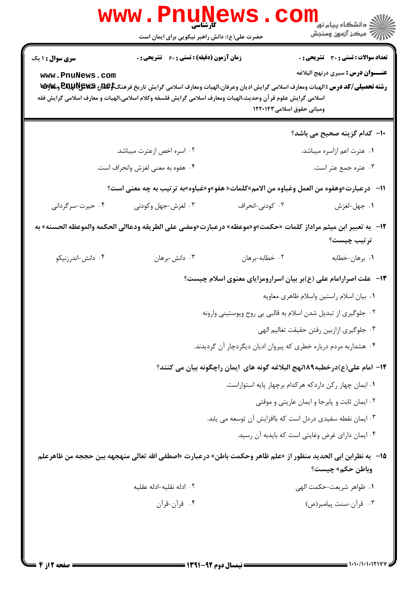|                                                                           | <b>WWW</b><br>کار شناسی<br>حضرت علی(ع): دانش راهبر نیکویی برای ایمان است                                                                                   |                                                               | دانشگاه پيام نور<br>ا <mark>⊗</mark> مرکز آزمون وسنجش                                                                                                                                                                        |  |  |
|---------------------------------------------------------------------------|------------------------------------------------------------------------------------------------------------------------------------------------------------|---------------------------------------------------------------|------------------------------------------------------------------------------------------------------------------------------------------------------------------------------------------------------------------------------|--|--|
| <b>سری سوال : ۱ یک</b><br>www.PnuNews.com                                 | زمان آزمون (دقیقه) : تستی : 60 ٪ تشریحی : 0<br>اسلامی گرایش علوم قر آن وحدیث،الهیات ومعارف اسلامی گرایش فلسفه وکلام اسلامی،الهیات و معارف اسلامی گرایش فقه | ومبانی حقوق اسلامی۱۲۲۰۱۴۳                                     | <b>تعداد سوالات : تستی : 30 ٪ تشریحی : 0</b><br><b>عنـــوان درس :</b> سيرى درنهج البلاغه<br>رشته تحصيلي/كد درس : الهيات ومعارف اسلامي گرايش اديان وعرفان،الهيات ومعارف اسلامي گرايش تاريخ فرهنگ <del>\$EQU</del> R و&wy و&wy |  |  |
|                                                                           |                                                                                                                                                            |                                                               | ۱۰– کدام گزینه صحیح می باشد؟                                                                                                                                                                                                 |  |  |
|                                                                           | ۰۲ اسره اخص ازعترت میباشد.                                                                                                                                 |                                                               | ۰۱ عترت اعم ازاسره میباشد.                                                                                                                                                                                                   |  |  |
|                                                                           | ۰۴ هفوه به معنى لغزش وانحراف است.                                                                                                                          |                                                               | ۰۳ عتره جمع عتر است.                                                                                                                                                                                                         |  |  |
|                                                                           |                                                                                                                                                            |                                                               | 11-   درعبارت«وهفوه من العمل وغباوه من الامم»كلمات« هفو»و«غباوه»به ترتيب به چه معنى است؟                                                                                                                                     |  |  |
| ۰۴ حیرت-سرگردانی                                                          | ۰۳ لغزش-جهل وكودنى                                                                                                                                         | ۰۲ کودنی-انحراف                                               | ٠١ جهل-لغزش                                                                                                                                                                                                                  |  |  |
|                                                                           |                                                                                                                                                            |                                                               | 1۲−   به تعبير ابن ميثم مراداز كلمات «حكمت»و«موعظه» درعبارت«ومضى على الطريقه ودعاالى الحكمه والموعظه الحسنه» به<br>ترتيب چيست؟                                                                                               |  |  |
| ۰۴ دانش-اندرزنیکو                                                         | ۰۳ دانش-برهان                                                                                                                                              | ٠٢ خطابه-برهان                                                | ۰۱ برهان-خطابه                                                                                                                                                                                                               |  |  |
|                                                                           |                                                                                                                                                            |                                                               | ۱۳- علت اصرارامام علی (ع)بر بیان اسرارومزایای معنوی اسلام چیست؟                                                                                                                                                              |  |  |
|                                                                           | ٠١ بيان اسلام راستين واسلام ظاهري معاويه                                                                                                                   |                                                               |                                                                                                                                                                                                                              |  |  |
|                                                                           |                                                                                                                                                            | ۰۲ جلوگیری از تبدیل شدن اسلام به قالبی بی روح وپوستینی وارونه |                                                                                                                                                                                                                              |  |  |
| ٠٣ جلوگيري ازازبين رفتن حقيقت تعاليم الهي                                 |                                                                                                                                                            |                                                               |                                                                                                                                                                                                                              |  |  |
| ۰۴ هشداربه مردم درباره خطری که پیروان ادیان دیگردچار آن گردیدند.          |                                                                                                                                                            |                                                               |                                                                                                                                                                                                                              |  |  |
| ۱۴– امام علی(ع)درخطبه۱۸۹نهج البلاغه گونه های  ایمان راچگونه بیان می کنند؟ |                                                                                                                                                            |                                                               |                                                                                                                                                                                                                              |  |  |
| ٠١ ايمان چهار ركن داردكه هركدام برچهار پايه استواراست.                    |                                                                                                                                                            |                                                               |                                                                                                                                                                                                                              |  |  |
| ۰۲ ایمان ثابت و پابرجا و ایمان عاریتی و موقتی                             |                                                                                                                                                            |                                                               |                                                                                                                                                                                                                              |  |  |
|                                                                           | ٠٣ ايمان نقطه سفيدي دردل است كه باافزايش آن توسعه مي يابد.                                                                                                 |                                                               |                                                                                                                                                                                                                              |  |  |
|                                                                           |                                                                                                                                                            |                                                               | ۰۴ ایمان دارای غرض وغایتی است که بایدبه آن رسید.                                                                                                                                                                             |  |  |
|                                                                           |                                                                                                                                                            |                                                               | 1۵–  به نظرابن ابی الحدید منظور از «علم ظاهر وحکمت باطن» درعبارت «اصطفی الله تعالی منهجهه بین حججه من ظاهرعلم<br>وباطن حكم» چيست؟                                                                                            |  |  |
|                                                                           | ۰۲ ادله نقلیه-ادله عقلیه                                                                                                                                   |                                                               | ٠١. ظواهر شريعت–حكمت الهي                                                                                                                                                                                                    |  |  |
|                                                                           | ۰۴ قرآن-قرآن                                                                                                                                               |                                                               | ۰۳ قرآن-سنت پیامبر(ص)                                                                                                                                                                                                        |  |  |
|                                                                           |                                                                                                                                                            |                                                               |                                                                                                                                                                                                                              |  |  |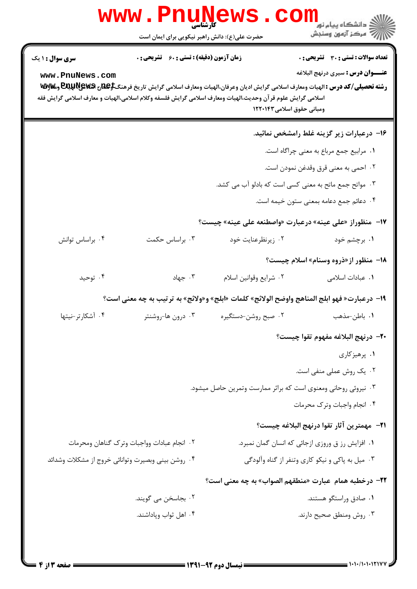| <b>WWW . P</b><br><b>کارشناسی</b><br>حضرت علی(ع): دانش راهبر نیکویی برای ایمان است                                                                                                                      | ڪ دانشڪاه پيا <sub>م</sub> نور<br>۾ مرڪز آزمون وسنجش                                                                                                                                                                                                      |  |  |  |  |
|---------------------------------------------------------------------------------------------------------------------------------------------------------------------------------------------------------|-----------------------------------------------------------------------------------------------------------------------------------------------------------------------------------------------------------------------------------------------------------|--|--|--|--|
| زمان آزمون (دقیقه) : تستی : 60 ٪ تشریحی : 0<br><b>سری سوال : ۱ یک</b><br>www.PnuNews.com<br>اسلامی گرایش علوم قر آن وحدیث،الهیات ومعارف اسلامی گرایش فلسفه وکلام اسلامی،الهیات و معارف اسلامی گرایش فقه | <b>تعداد سوالات : تستی : 30 ٪ تشریحی : 0</b><br><b>عنـــوان درس :</b> سيرى درنهج البلاغه<br>رشته تحصيلي/كد درس : الهيات ومعارف اسلامي گرايش اديان وعرفان،الهيات ومعارف اسلامي گرايش تاريخ فرهنگ <del>\$EQU</del> R و&wy و&wy<br>ومبانی حقوق اسلامی۱۲۲۰۱۴۳ |  |  |  |  |
|                                                                                                                                                                                                         | ۱۶– درعبارات زیر گزینه غلط رامشخص نمائید.                                                                                                                                                                                                                 |  |  |  |  |
|                                                                                                                                                                                                         | ١. مرابيع جمع مرباع به معنى چراگاه است.                                                                                                                                                                                                                   |  |  |  |  |
| ٢. احمى به معنى قرق وقدغن نمودن است.                                                                                                                                                                    |                                                                                                                                                                                                                                                           |  |  |  |  |
| ۰۳ مواتح جمع ماتح به معنی کسی است که بادلو آب می کشد.                                                                                                                                                   |                                                                                                                                                                                                                                                           |  |  |  |  |
|                                                                                                                                                                                                         | ۰۴ دعائم جمع دعامه بمعنى ستون خيمه است.                                                                                                                                                                                                                   |  |  |  |  |
| ۱۷- منظوراز «علی عینه» درعبارت «واصطنعه علی عینه» چیست؟                                                                                                                                                 |                                                                                                                                                                                                                                                           |  |  |  |  |
| ۰۴ براساس توانش<br>۰۳ براساس حکمت                                                                                                                                                                       | ۰۲ زیرنظرعنایت خود<br>۰۱ برچشم خود                                                                                                                                                                                                                        |  |  |  |  |
|                                                                                                                                                                                                         | <b>۱۸- منظور از «ذروه وسنام» اسلام چیست؟</b>                                                                                                                                                                                                              |  |  |  |  |
| ۰۳ جهاد<br>۰۴ توحید                                                                                                                                                                                     | ٠٢ شرايع وقوانين اسلام<br>٠١ عبادات اسلامي                                                                                                                                                                                                                |  |  |  |  |
|                                                                                                                                                                                                         | 19−  درعبارت« فهو ابلج المناهج واوضح الولائج» كلمات «ابلج» و«ولائج» به ترتيب به چه معنى است؟                                                                                                                                                              |  |  |  |  |
| ۰۴ آشکارتر-نیتها<br>۰۳ درون ها-روشنتر                                                                                                                                                                   | ٢. صبح روشن-دستگيره<br>٠١ باطن-مذهب                                                                                                                                                                                                                       |  |  |  |  |
|                                                                                                                                                                                                         | +٢- درنهج البلاغه مفهوم تقوا چيست؟                                                                                                                                                                                                                        |  |  |  |  |
|                                                                                                                                                                                                         | ۰۱ پرهيزكارى                                                                                                                                                                                                                                              |  |  |  |  |
|                                                                                                                                                                                                         | ۰۲ یک روش عملی منفی است.                                                                                                                                                                                                                                  |  |  |  |  |
|                                                                                                                                                                                                         | ۰۳ نیروئی روحانی ومعنوی است که براثر ممارست وتمرین حاصل میشود.                                                                                                                                                                                            |  |  |  |  |
|                                                                                                                                                                                                         | ۰۴ انجام واجبات وترك محرمات                                                                                                                                                                                                                               |  |  |  |  |
|                                                                                                                                                                                                         | ا۲− مهمترين آثار تقوا درنهج البلاغه چيست؟                                                                                                                                                                                                                 |  |  |  |  |
| ٠٢ انجام عبادات وواجبات وترك گناهان ومحرمات                                                                                                                                                             | ٠. افزايش رز ق وروزي ازجائي كه انسان گمان نمبرد.                                                                                                                                                                                                          |  |  |  |  |
| ۰۴ روشن بینی وبصیرت وتوانائی خروج از مشکلات وشدائد                                                                                                                                                      | ۰۳ میل به پاکی و نیکو کاری وتنفر از گناه وآلودگی                                                                                                                                                                                                          |  |  |  |  |
| <b>٢٢</b> - درخطبه همام عبارت «منطقهم الصواب» به چه معنى است؟                                                                                                                                           |                                                                                                                                                                                                                                                           |  |  |  |  |
| ۲. بجاسخن می گویند.                                                                                                                                                                                     | ۰۱ صادق وراستگو هستند.                                                                                                                                                                                                                                    |  |  |  |  |
| ۰۴ اهل ثواب وپاداشند.                                                                                                                                                                                   | ۰۳ روش ومنطق صحيح دارند.                                                                                                                                                                                                                                  |  |  |  |  |
|                                                                                                                                                                                                         |                                                                                                                                                                                                                                                           |  |  |  |  |